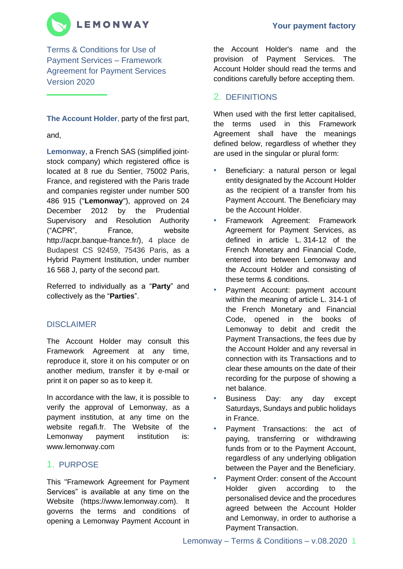# **LEMONWAY**

Terms & Conditions for Use of Payment Services – Framework Agreement for Payment Services Version 2020

**The Account Holder**, party of the first part,

and,

**Lemonway**, a French SAS (simplified jointstock company) which registered office is located at 8 rue du Sentier, 75002 Paris, France, and registered with the Paris trade and companies register under number 500 486 915 ("**Lemonway**"), approved on 24 December 2012 by the Prudential Supervisory and Resolution Authority ("ACPR", France, website http://acpr.banque-france.fr/), 4 place de Budapest CS 92459, 75436 Paris, as a Hybrid Payment Institution, under number 16 568 J, party of the second part.

Referred to individually as a "**Party**" and collectively as the "**Parties**".

## DISCLAIMER

The Account Holder may consult this Framework Agreement at any time, reproduce it, store it on his computer or on another medium, transfer it by e-mail or print it on paper so as to keep it.

In accordance with the law, it is possible to verify the approval of Lemonway, as a payment institution, at any time on the website regafi.fr. The Website of the Lemonway payment institution is: www.lemonway.com

## 1. PURPOSE

This "Framework Agreement for Payment Services" is available at any time on the Website (https://www.lemonway.com). It governs the terms and conditions of opening a Lemonway Payment Account in the Account Holder's name and the provision of Payment Services. The Account Holder should read the terms and conditions carefully before accepting them.

## 2. DEFINITIONS

When used with the first letter capitalised, the terms used in this Framework Agreement shall have the meanings defined below, regardless of whether they are used in the singular or plural form:

- Beneficiary: a natural person or legal entity designated by the Account Holder as the recipient of a transfer from his Payment Account. The Beneficiary may be the Account Holder.
- Framework Agreement: Framework Agreement for Payment Services, as defined in article L. 314-12 of the French Monetary and Financial Code, entered into between Lemonway and the Account Holder and consisting of these terms & conditions.
- Payment Account: payment account within the meaning of article L. 314-1 of the French Monetary and Financial Code, opened in the books of Lemonway to debit and credit the Payment Transactions, the fees due by the Account Holder and any reversal in connection with its Transactions and to clear these amounts on the date of their recording for the purpose of showing a net balance.
- Business Day: any day except Saturdays, Sundays and public holidays in France.
- Payment Transactions: the act of paying, transferring or withdrawing funds from or to the Payment Account, regardless of any underlying obligation between the Payer and the Beneficiary.
- Payment Order: consent of the Account Holder given according to the personalised device and the procedures agreed between the Account Holder and Lemonway, in order to authorise a Payment Transaction.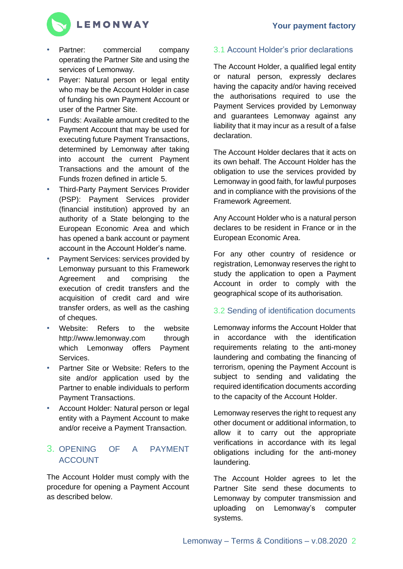

- Partner: commercial company operating the Partner Site and using the services of Lemonway.
- Payer: Natural person or legal entity who may be the Account Holder in case of funding his own Payment Account or user of the Partner Site.
- Funds: Available amount credited to the Payment Account that may be used for executing future Payment Transactions, determined by Lemonway after taking into account the current Payment Transactions and the amount of the Funds frozen defined in article 5.
- Third-Party Payment Services Provider (PSP): Payment Services provider (financial institution) approved by an authority of a State belonging to the European Economic Area and which has opened a bank account or payment account in the Account Holder's name.
- Payment Services: services provided by Lemonway pursuant to this Framework Agreement and comprising the execution of credit transfers and the acquisition of credit card and wire transfer orders, as well as the cashing of cheques.
- Website: Refers to the website http://www.lemonway.com through which Lemonway offers Payment Services.
- Partner Site or Website: Refers to the site and/or application used by the Partner to enable individuals to perform Payment Transactions.
- Account Holder: Natural person or legal entity with a Payment Account to make and/or receive a Payment Transaction.

## 3. OPENING OF A PAYMENT ACCOUNT

The Account Holder must comply with the procedure for opening a Payment Account as described below.

## 3.1 Account Holder's prior declarations

The Account Holder, a qualified legal entity or natural person, expressly declares having the capacity and/or having received the authorisations required to use the Payment Services provided by Lemonway and guarantees Lemonway against any liability that it may incur as a result of a false declaration.

The Account Holder declares that it acts on its own behalf. The Account Holder has the obligation to use the services provided by Lemonway in good faith, for lawful purposes and in compliance with the provisions of the Framework Agreement.

Any Account Holder who is a natural person declares to be resident in France or in the European Economic Area.

For any other country of residence or registration, Lemonway reserves the right to study the application to open a Payment Account in order to comply with the geographical scope of its authorisation.

### 3.2 Sending of identification documents

Lemonway informs the Account Holder that in accordance with the identification requirements relating to the anti-money laundering and combating the financing of terrorism, opening the Payment Account is subject to sending and validating the required identification documents according to the capacity of the Account Holder.

Lemonway reserves the right to request any other document or additional information, to allow it to carry out the appropriate verifications in accordance with its legal obligations including for the anti-money laundering.

The Account Holder agrees to let the Partner Site send these documents to Lemonway by computer transmission and uploading on Lemonway's computer systems.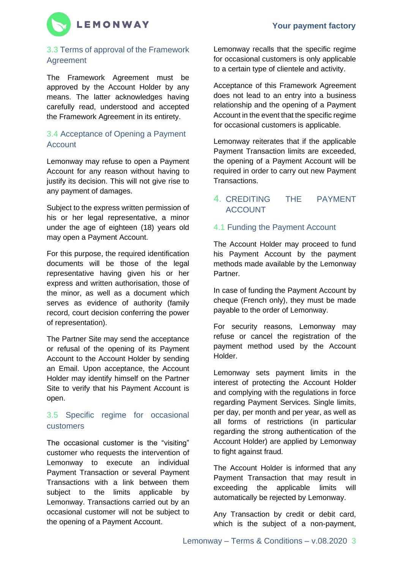

## 3.3 Terms of approval of the Framework Agreement

The Framework Agreement must be approved by the Account Holder by any means. The latter acknowledges having carefully read, understood and accepted the Framework Agreement in its entirety.

### 3.4 Acceptance of Opening a Payment Account

Lemonway may refuse to open a Payment Account for any reason without having to justify its decision. This will not give rise to any payment of damages.

Subject to the express written permission of his or her legal representative, a minor under the age of eighteen (18) years old may open a Payment Account.

For this purpose, the required identification documents will be those of the legal representative having given his or her express and written authorisation, those of the minor, as well as a document which serves as evidence of authority (family record, court decision conferring the power of representation).

The Partner Site may send the acceptance or refusal of the opening of its Payment Account to the Account Holder by sending an Email. Upon acceptance, the Account Holder may identify himself on the Partner Site to verify that his Payment Account is open.

### 3.5 Specific regime for occasional customers

The occasional customer is the "visiting" customer who requests the intervention of Lemonway to execute an individual Payment Transaction or several Payment Transactions with a link between them subiect to the limits applicable by Lemonway. Transactions carried out by an occasional customer will not be subject to the opening of a Payment Account.

Lemonway recalls that the specific regime for occasional customers is only applicable to a certain type of clientele and activity.

Acceptance of this Framework Agreement does not lead to an entry into a business relationship and the opening of a Payment Account in the event that the specific regime for occasional customers is applicable.

Lemonway reiterates that if the applicable Payment Transaction limits are exceeded, the opening of a Payment Account will be required in order to carry out new Payment Transactions.

## 4. CREDITING THE PAYMENT ACCOUNT

### 4.1 Funding the Payment Account

The Account Holder may proceed to fund his Payment Account by the payment methods made available by the Lemonway Partner.

In case of funding the Payment Account by cheque (French only), they must be made payable to the order of Lemonway.

For security reasons, Lemonway may refuse or cancel the registration of the payment method used by the Account Holder.

Lemonway sets payment limits in the interest of protecting the Account Holder and complying with the regulations in force regarding Payment Services. Single limits, per day, per month and per year, as well as all forms of restrictions (in particular regarding the strong authentication of the Account Holder) are applied by Lemonway to fight against fraud.

The Account Holder is informed that any Payment Transaction that may result in exceeding the applicable limits will automatically be rejected by Lemonway.

Any Transaction by credit or debit card, which is the subject of a non-payment,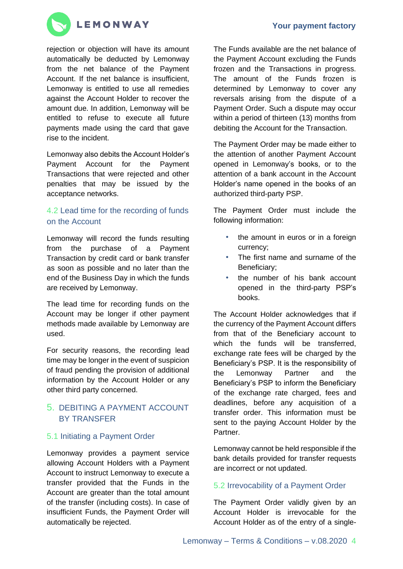

rejection or objection will have its amount automatically be deducted by Lemonway from the net balance of the Payment Account. If the net balance is insufficient, Lemonway is entitled to use all remedies against the Account Holder to recover the amount due. In addition, Lemonway will be entitled to refuse to execute all future payments made using the card that gave rise to the incident.

Lemonway also debits the Account Holder's Payment Account for the Payment Transactions that were rejected and other penalties that may be issued by the acceptance networks.

## 4.2 Lead time for the recording of funds on the Account

Lemonway will record the funds resulting from the purchase of a Payment Transaction by credit card or bank transfer as soon as possible and no later than the end of the Business Day in which the funds are received by Lemonway.

The lead time for recording funds on the Account may be longer if other payment methods made available by Lemonway are used.

For security reasons, the recording lead time may be longer in the event of suspicion of fraud pending the provision of additional information by the Account Holder or any other third party concerned.

## 5. DEBITING A PAYMENT ACCOUNT BY TRANSFER

### 5.1 Initiating a Payment Order

Lemonway provides a payment service allowing Account Holders with a Payment Account to instruct Lemonway to execute a transfer provided that the Funds in the Account are greater than the total amount of the transfer (including costs). In case of insufficient Funds, the Payment Order will automatically be rejected.

The Funds available are the net balance of the Payment Account excluding the Funds frozen and the Transactions in progress. The amount of the Funds frozen is determined by Lemonway to cover any reversals arising from the dispute of a Payment Order. Such a dispute may occur within a period of thirteen (13) months from debiting the Account for the Transaction.

The Payment Order may be made either to the attention of another Payment Account opened in Lemonway's books, or to the attention of a bank account in the Account Holder's name opened in the books of an authorized third-party PSP.

The Payment Order must include the following information:

- the amount in euros or in a foreign currency;
- The first name and surname of the Beneficiary;
- the number of his bank account opened in the third-party PSP's books.

The Account Holder acknowledges that if the currency of the Payment Account differs from that of the Beneficiary account to which the funds will be transferred, exchange rate fees will be charged by the Beneficiary's PSP. It is the responsibility of the Lemonway Partner and the Beneficiary's PSP to inform the Beneficiary of the exchange rate charged, fees and deadlines, before any acquisition of a transfer order. This information must be sent to the paying Account Holder by the Partner.

Lemonway cannot be held responsible if the bank details provided for transfer requests are incorrect or not updated.

### 5.2 Irrevocability of a Payment Order

The Payment Order validly given by an Account Holder is irrevocable for the Account Holder as of the entry of a single-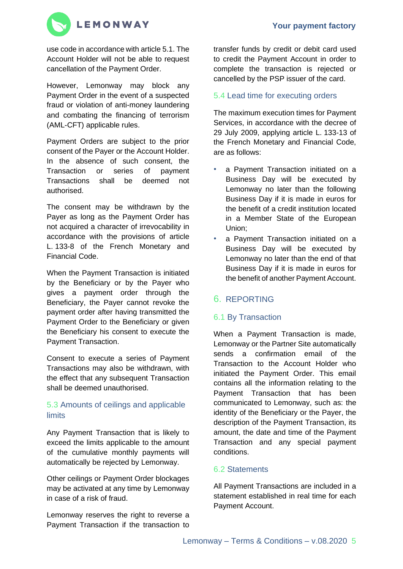

use code in accordance with article 5.1. The Account Holder will not be able to request cancellation of the Payment Order.

However, Lemonway may block any Payment Order in the event of a suspected fraud or violation of anti-money laundering and combating the financing of terrorism (AML-CFT) applicable rules.

Payment Orders are subject to the prior consent of the Payer or the Account Holder. In the absence of such consent, the Transaction or series of payment Transactions shall be deemed not authorised.

The consent may be withdrawn by the Payer as long as the Payment Order has not acquired a character of irrevocability in accordance with the provisions of article L. 133-8 of the French Monetary and Financial Code.

When the Payment Transaction is initiated by the Beneficiary or by the Payer who gives a payment order through the Beneficiary, the Payer cannot revoke the payment order after having transmitted the Payment Order to the Beneficiary or given the Beneficiary his consent to execute the Payment Transaction.

Consent to execute a series of Payment Transactions may also be withdrawn, with the effect that any subsequent Transaction shall be deemed unauthorised.

## 5.3 Amounts of ceilings and applicable limits

Any Payment Transaction that is likely to exceed the limits applicable to the amount of the cumulative monthly payments will automatically be rejected by Lemonway.

Other ceilings or Payment Order blockages may be activated at any time by Lemonway in case of a risk of fraud.

Lemonway reserves the right to reverse a Payment Transaction if the transaction to

transfer funds by credit or debit card used to credit the Payment Account in order to complete the transaction is rejected or cancelled by the PSP issuer of the card.

## 5.4 Lead time for executing orders

The maximum execution times for Payment Services, in accordance with the decree of 29 July 2009, applying article L. 133-13 of the French Monetary and Financial Code, are as follows:

- a Payment Transaction initiated on a Business Day will be executed by Lemonway no later than the following Business Day if it is made in euros for the benefit of a credit institution located in a Member State of the European Union;
- a Payment Transaction initiated on a Business Day will be executed by Lemonway no later than the end of that Business Day if it is made in euros for the benefit of another Payment Account.

## 6. REPORTING

## 6.1 By Transaction

When a Payment Transaction is made, Lemonway or the Partner Site automatically sends a confirmation email of the Transaction to the Account Holder who initiated the Payment Order. This email contains all the information relating to the Payment Transaction that has been communicated to Lemonway, such as: the identity of the Beneficiary or the Payer, the description of the Payment Transaction, its amount, the date and time of the Payment Transaction and any special payment conditions.

## 6.2 Statements

All Payment Transactions are included in a statement established in real time for each Payment Account.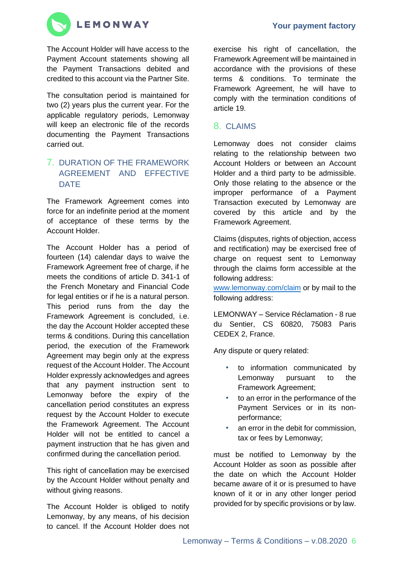



The Account Holder will have access to the Payment Account statements showing all the Payment Transactions debited and credited to this account via the Partner Site.

The consultation period is maintained for two (2) years plus the current year. For the applicable regulatory periods, Lemonway will keep an electronic file of the records documenting the Payment Transactions carried out.

## 7. DURATION OF THE FRAMEWORK AGREEMENT AND EFFECTIVE **DATE**

The Framework Agreement comes into force for an indefinite period at the moment of acceptance of these terms by the Account Holder.

The Account Holder has a period of fourteen (14) calendar days to waive the Framework Agreement free of charge, if he meets the conditions of article D. 341-1 of the French Monetary and Financial Code for legal entities or if he is a natural person. This period runs from the day the Framework Agreement is concluded, i.e. the day the Account Holder accepted these terms & conditions. During this cancellation period, the execution of the Framework Agreement may begin only at the express request of the Account Holder. The Account Holder expressly acknowledges and agrees that any payment instruction sent to Lemonway before the expiry of the cancellation period constitutes an express request by the Account Holder to execute the Framework Agreement. The Account Holder will not be entitled to cancel a payment instruction that he has given and confirmed during the cancellation period.

This right of cancellation may be exercised by the Account Holder without penalty and without giving reasons.

The Account Holder is obliged to notify Lemonway, by any means, of his decision to cancel. If the Account Holder does not

exercise his right of cancellation, the Framework Agreement will be maintained in accordance with the provisions of these terms & conditions. To terminate the Framework Agreement, he will have to comply with the termination conditions of article 19.

## 8. CLAIMS

Lemonway does not consider claims relating to the relationship between two Account Holders or between an Account Holder and a third party to be admissible. Only those relating to the absence or the improper performance of a Payment Transaction executed by Lemonway are covered by this article and by the Framework Agreement.

Claims (disputes, rights of objection, access and rectification) may be exercised free of charge on request sent to Lemonway through the claims form accessible at the following address:

[www.lemonway.com/claim](http://www.lemonway.com/claim) or by mail to the following address:

LEMONWAY – Service Réclamation - 8 rue du Sentier, CS 60820, 75083 Paris CEDEX 2, France.

Any dispute or query related:

- to information communicated by Lemonway pursuant to the Framework Agreement;
- to an error in the performance of the Payment Services or in its nonperformance;
- an error in the debit for commission, tax or fees by Lemonway;

must be notified to Lemonway by the Account Holder as soon as possible after the date on which the Account Holder became aware of it or is presumed to have known of it or in any other longer period provided for by specific provisions or by law.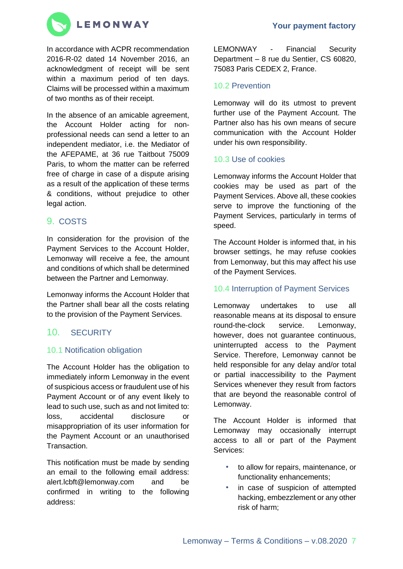

In accordance with ACPR recommendation 2016-R-02 dated 14 November 2016, an acknowledgment of receipt will be sent within a maximum period of ten days. Claims will be processed within a maximum of two months as of their receipt.

In the absence of an amicable agreement, the Account Holder acting for nonprofessional needs can send a letter to an independent mediator, i.e. the Mediator of the AFEPAME, at 36 rue Taitbout 75009 Paris, to whom the matter can be referred free of charge in case of a dispute arising as a result of the application of these terms & conditions, without prejudice to other legal action.

### 9. COSTS

In consideration for the provision of the Payment Services to the Account Holder, Lemonway will receive a fee, the amount and conditions of which shall be determined between the Partner and Lemonway.

Lemonway informs the Account Holder that the Partner shall bear all the costs relating to the provision of the Payment Services.

## 10. SECURITY

#### 10.1 Notification obligation

The Account Holder has the obligation to immediately inform Lemonway in the event of suspicious access or fraudulent use of his Payment Account or of any event likely to lead to such use, such as and not limited to: loss, accidental disclosure or misappropriation of its user information for the Payment Account or an unauthorised Transaction.

This notification must be made by sending an email to the following email address: alert.lcbft@lemonway.com and be confirmed in writing to the following address:

LEMONWAY - Financial Security Department – 8 rue du Sentier, CS 60820, 75083 Paris CEDEX 2, France.

### 10.2 Prevention

Lemonway will do its utmost to prevent further use of the Payment Account. The Partner also has his own means of secure communication with the Account Holder under his own responsibility.

#### 10.3 Use of cookies

Lemonway informs the Account Holder that cookies may be used as part of the Payment Services. Above all, these cookies serve to improve the functioning of the Payment Services, particularly in terms of speed.

The Account Holder is informed that, in his browser settings, he may refuse cookies from Lemonway, but this may affect his use of the Payment Services.

### 10.4 Interruption of Payment Services

Lemonway undertakes to use all reasonable means at its disposal to ensure round-the-clock service. Lemonway, however, does not guarantee continuous, uninterrupted access to the Payment Service. Therefore, Lemonway cannot be held responsible for any delay and/or total or partial inaccessibility to the Payment Services whenever they result from factors that are beyond the reasonable control of Lemonway.

The Account Holder is informed that Lemonway may occasionally interrupt access to all or part of the Payment Services:

- to allow for repairs, maintenance, or functionality enhancements;
- in case of suspicion of attempted hacking, embezzlement or any other risk of harm;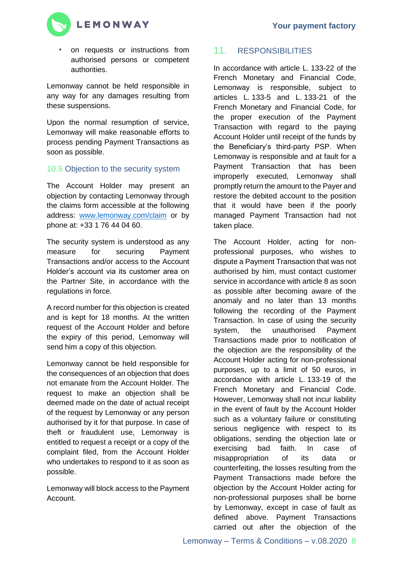

• on requests or instructions from authorised persons or competent authorities.

Lemonway cannot be held responsible in any way for any damages resulting from these suspensions.

Upon the normal resumption of service, Lemonway will make reasonable efforts to process pending Payment Transactions as soon as possible.

### 10.5 Objection to the security system

The Account Holder may present an objection by contacting Lemonway through the claims form accessible at the following address: [www.lemonway.com/claim](http://www.lemonway.com/claim) or by phone at: +33 1 76 44 04 60.

The security system is understood as any measure for securing Payment Transactions and/or access to the Account Holder's account via its customer area on the Partner Site, in accordance with the regulations in force.

A record number for this objection is created and is kept for 18 months. At the written request of the Account Holder and before the expiry of this period, Lemonway will send him a copy of this objection.

Lemonway cannot be held responsible for the consequences of an objection that does not emanate from the Account Holder. The request to make an objection shall be deemed made on the date of actual receipt of the request by Lemonway or any person authorised by it for that purpose. In case of theft or fraudulent use, Lemonway is entitled to request a receipt or a copy of the complaint filed, from the Account Holder who undertakes to respond to it as soon as possible.

Lemonway will block access to the Payment Account.

## 11. RESPONSIBILITIES

In accordance with article L. 133-22 of the French Monetary and Financial Code, Lemonway is responsible, subject to articles L. 133-5 and L. 133-21 of the French Monetary and Financial Code, for the proper execution of the Payment Transaction with regard to the paying Account Holder until receipt of the funds by the Beneficiary's third-party PSP. When Lemonway is responsible and at fault for a Payment Transaction that has been improperly executed, Lemonway shall promptly return the amount to the Payer and restore the debited account to the position that it would have been if the poorly managed Payment Transaction had not taken place.

The Account Holder, acting for nonprofessional purposes, who wishes to dispute a Payment Transaction that was not authorised by him, must contact customer service in accordance with article 8 as soon as possible after becoming aware of the anomaly and no later than 13 months following the recording of the Payment Transaction. In case of using the security system, the unauthorised Payment Transactions made prior to notification of the objection are the responsibility of the Account Holder acting for non-professional purposes, up to a limit of 50 euros, in accordance with article L. 133-19 of the French Monetary and Financial Code. However, Lemonway shall not incur liability in the event of fault by the Account Holder such as a voluntary failure or constituting serious negligence with respect to its obligations, sending the objection late or exercising bad faith. In case of misappropriation of its data or counterfeiting, the losses resulting from the Payment Transactions made before the objection by the Account Holder acting for non-professional purposes shall be borne by Lemonway, except in case of fault as defined above. Payment Transactions carried out after the objection of the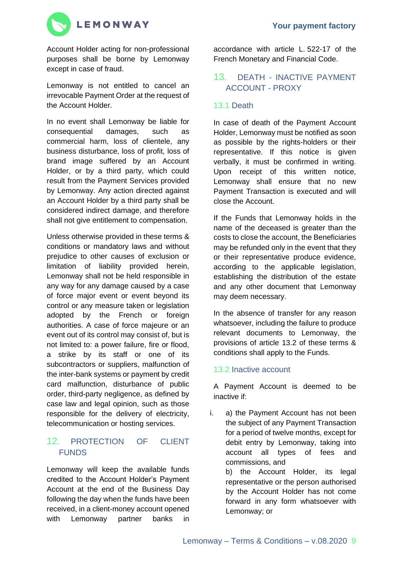

Account Holder acting for non-professional purposes shall be borne by Lemonway except in case of fraud.

Lemonway is not entitled to cancel an irrevocable Payment Order at the request of the Account Holder.

In no event shall Lemonway be liable for consequential damages, such as commercial harm, loss of clientele, any business disturbance, loss of profit, loss of brand image suffered by an Account Holder, or by a third party, which could result from the Payment Services provided by Lemonway. Any action directed against an Account Holder by a third party shall be considered indirect damage, and therefore shall not give entitlement to compensation.

Unless otherwise provided in these terms & conditions or mandatory laws and without prejudice to other causes of exclusion or limitation of liability provided herein, Lemonway shall not be held responsible in any way for any damage caused by a case of force major event or event beyond its control or any measure taken or legislation adopted by the French or foreign authorities. A case of force majeure or an event out of its control may consist of, but is not limited to: a power failure, fire or flood, a strike by its staff or one of its subcontractors or suppliers, malfunction of the inter-bank systems or payment by credit card malfunction, disturbance of public order, third-party negligence, as defined by case law and legal opinion, such as those responsible for the delivery of electricity, telecommunication or hosting services.

## 12. PROTECTION OF CLIENT FUNDS

Lemonway will keep the available funds credited to the Account Holder's Payment Account at the end of the Business Day following the day when the funds have been received, in a client-money account opened with Lemonway partner banks in

accordance with article L. 522-17 of the French Monetary and Financial Code.

## 13. DEATH - INACTIVE PAYMENT ACCOUNT - PROXY

### 13.1 Death

In case of death of the Payment Account Holder, Lemonway must be notified as soon as possible by the rights-holders or their representative. If this notice is given verbally, it must be confirmed in writing. Upon receipt of this written notice, Lemonway shall ensure that no new Payment Transaction is executed and will close the Account.

If the Funds that Lemonway holds in the name of the deceased is greater than the costs to close the account, the Beneficiaries may be refunded only in the event that they or their representative produce evidence, according to the applicable legislation, establishing the distribution of the estate and any other document that Lemonway may deem necessary.

In the absence of transfer for any reason whatsoever, including the failure to produce relevant documents to Lemonway, the provisions of article 13.2 of these terms & conditions shall apply to the Funds.

## 13.2 Inactive account

A Payment Account is deemed to be inactive if:

i. a) the Payment Account has not been the subject of any Payment Transaction for a period of twelve months, except for debit entry by Lemonway, taking into account all types of fees and commissions, and

b) the Account Holder, its legal representative or the person authorised by the Account Holder has not come forward in any form whatsoever with Lemonway; or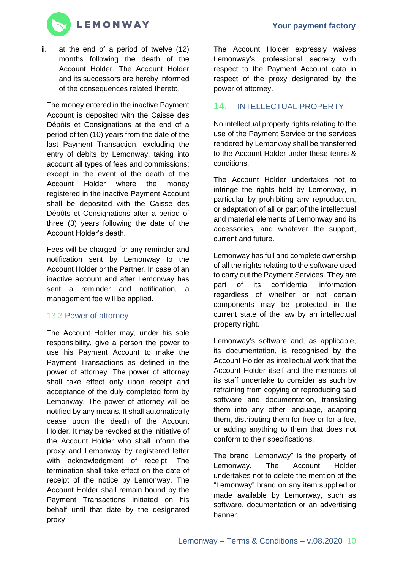

ii. at the end of a period of twelve (12) months following the death of the Account Holder. The Account Holder and its successors are hereby informed of the consequences related thereto.

The money entered in the inactive Payment Account is deposited with the Caisse des Dépôts et Consignations at the end of a period of ten (10) years from the date of the last Payment Transaction, excluding the entry of debits by Lemonway, taking into account all types of fees and commissions; except in the event of the death of the Account Holder where the money registered in the inactive Payment Account shall be deposited with the Caisse des Dépôts et Consignations after a period of three (3) years following the date of the Account Holder's death.

Fees will be charged for any reminder and notification sent by Lemonway to the Account Holder or the Partner. In case of an inactive account and after Lemonway has sent a reminder and notification, a management fee will be applied.

### 13.3 Power of attorney

The Account Holder may, under his sole responsibility, give a person the power to use his Payment Account to make the Payment Transactions as defined in the power of attorney. The power of attorney shall take effect only upon receipt and acceptance of the duly completed form by Lemonway. The power of attorney will be notified by any means. It shall automatically cease upon the death of the Account Holder. It may be revoked at the initiative of the Account Holder who shall inform the proxy and Lemonway by registered letter with acknowledgment of receipt. The termination shall take effect on the date of receipt of the notice by Lemonway. The Account Holder shall remain bound by the Payment Transactions initiated on his behalf until that date by the designated proxy.

The Account Holder expressly waives Lemonway's professional secrecy with respect to the Payment Account data in respect of the proxy designated by the power of attorney.

## 14. INTELLECTUAL PROPERTY

No intellectual property rights relating to the use of the Payment Service or the services rendered by Lemonway shall be transferred to the Account Holder under these terms & conditions.

The Account Holder undertakes not to infringe the rights held by Lemonway, in particular by prohibiting any reproduction, or adaptation of all or part of the intellectual and material elements of Lemonway and its accessories, and whatever the support, current and future.

Lemonway has full and complete ownership of all the rights relating to the software used to carry out the Payment Services. They are part of its confidential information regardless of whether or not certain components may be protected in the current state of the law by an intellectual property right.

Lemonway's software and, as applicable, its documentation, is recognised by the Account Holder as intellectual work that the Account Holder itself and the members of its staff undertake to consider as such by refraining from copying or reproducing said software and documentation, translating them into any other language, adapting them, distributing them for free or for a fee, or adding anything to them that does not conform to their specifications.

The brand "Lemonway" is the property of Lemonway. The Account Holder undertakes not to delete the mention of the "Lemonway" brand on any item supplied or made available by Lemonway, such as software, documentation or an advertising banner.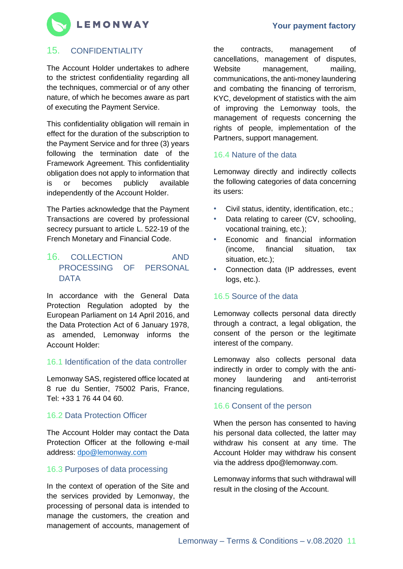

## 15. CONFIDENTIALITY

The Account Holder undertakes to adhere to the strictest confidentiality regarding all the techniques, commercial or of any other nature, of which he becomes aware as part of executing the Payment Service.

This confidentiality obligation will remain in effect for the duration of the subscription to the Payment Service and for three (3) years following the termination date of the Framework Agreement. This confidentiality obligation does not apply to information that is or becomes publicly available independently of the Account Holder.

The Parties acknowledge that the Payment Transactions are covered by professional secrecy pursuant to article L. 522-19 of the French Monetary and Financial Code.

## 16. COLLECTION AND PROCESSING OF PERSONAL **DATA**

In accordance with the General Data Protection Regulation adopted by the European Parliament on 14 April 2016, and the Data Protection Act of 6 January 1978, as amended, Lemonway informs the Account Holder:

### 16.1 Identification of the data controller

Lemonway SAS, registered office located at 8 rue du Sentier, 75002 Paris, France, Tel: +33 1 76 44 04 60.

#### 16.2 Data Protection Officer

The Account Holder may contact the Data Protection Officer at the following e-mail address: [dpo@lemonway.com](mailto:dpo@lemonway.com)

### 16.3 Purposes of data processing

In the context of operation of the Site and the services provided by Lemonway, the processing of personal data is intended to manage the customers, the creation and management of accounts, management of

the contracts, management of cancellations, management of disputes, Website management, mailing, communications, the anti-money laundering and combating the financing of terrorism, KYC, development of statistics with the aim of improving the Lemonway tools, the management of requests concerning the rights of people, implementation of the Partners, support management.

### 16.4 Nature of the data

Lemonway directly and indirectly collects the following categories of data concerning its users:

- Civil status, identity, identification, etc.;
- Data relating to career (CV, schooling, vocational training, etc.);
- Economic and financial information (income, financial situation, tax situation, etc.);
- Connection data (IP addresses, event logs, etc.).

### 16.5 Source of the data

Lemonway collects personal data directly through a contract, a legal obligation, the consent of the person or the legitimate interest of the company.

Lemonway also collects personal data indirectly in order to comply with the antimoney laundering and anti-terrorist financing regulations.

#### 16.6 Consent of the person

When the person has consented to having his personal data collected, the latter may withdraw his consent at any time. The Account Holder may withdraw his consent via the address dpo@lemonway.com.

Lemonway informs that such withdrawal will result in the closing of the Account.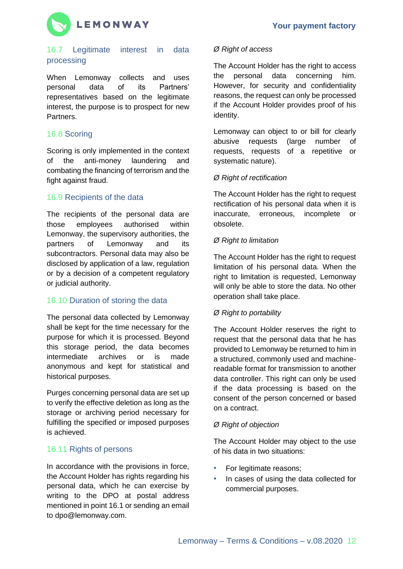

### 16.7 Legitimate interest in data processing

When Lemonway collects and uses personal data of its Partners' representatives based on the legitimate interest, the purpose is to prospect for new Partners.

## 16.8 Scoring

Scoring is only implemented in the context of the anti-money laundering and combating the financing of terrorism and the fight against fraud.

### 16.9 Recipients of the data

The recipients of the personal data are those employees authorised within Lemonway, the supervisory authorities, the partners of Lemonway and its subcontractors. Personal data may also be disclosed by application of a law, regulation or by a decision of a competent regulatory or judicial authority.

## 16.10 Duration of storing the data

The personal data collected by Lemonway shall be kept for the time necessary for the purpose for which it is processed. Beyond this storage period, the data becomes intermediate archives or is made anonymous and kept for statistical and historical purposes.

Purges concerning personal data are set up to verify the effective deletion as long as the storage or archiving period necessary for fulfilling the specified or imposed purposes is achieved.

## 16.11 Rights of persons

In accordance with the provisions in force, the Account Holder has rights regarding his personal data, which he can exercise by writing to the DPO at postal address mentioned in point 16.1 or sending an email to dpo@lemonway.com.

### *Ø Right of access*

The Account Holder has the right to access the personal data concerning him. However, for security and confidentiality reasons, the request can only be processed if the Account Holder provides proof of his identity.

Lemonway can object to or bill for clearly abusive requests (large number of requests, requests of a repetitive or systematic nature).

#### *Ø Right of rectification*

The Account Holder has the right to request rectification of his personal data when it is inaccurate, erroneous, incomplete or obsolete.

#### *Ø Right to limitation*

The Account Holder has the right to request limitation of his personal data. When the right to limitation is requested, Lemonway will only be able to store the data. No other operation shall take place.

### *Ø Right to portability*

The Account Holder reserves the right to request that the personal data that he has provided to Lemonway be returned to him in a structured, commonly used and machinereadable format for transmission to another data controller. This right can only be used if the data processing is based on the consent of the person concerned or based on a contract.

#### *Ø Right of objection*

The Account Holder may object to the use of his data in two situations:

- For legitimate reasons;
- In cases of using the data collected for commercial purposes.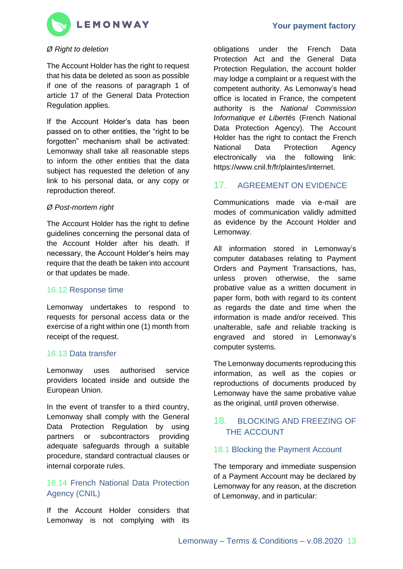

#### *Ø Right to deletion*

The Account Holder has the right to request that his data be deleted as soon as possible if one of the reasons of paragraph 1 of article 17 of the General Data Protection Regulation applies.

If the Account Holder's data has been passed on to other entities, the "right to be forgotten" mechanism shall be activated: Lemonway shall take all reasonable steps to inform the other entities that the data subject has requested the deletion of any link to his personal data, or any copy or reproduction thereof.

#### *Ø Post-mortem right*

The Account Holder has the right to define guidelines concerning the personal data of the Account Holder after his death. If necessary, the Account Holder's heirs may require that the death be taken into account or that updates be made.

#### 16.12 Response time

Lemonway undertakes to respond to requests for personal access data or the exercise of a right within one (1) month from receipt of the request.

#### 16.13 Data transfer

Lemonway uses authorised service providers located inside and outside the European Union.

In the event of transfer to a third country, Lemonway shall comply with the General Data Protection Regulation by using partners or subcontractors providing adequate safeguards through a suitable procedure, standard contractual clauses or internal corporate rules.

## 16.14 French National Data Protection Agency (CNIL)

If the Account Holder considers that Lemonway is not complying with its obligations under the French Data Protection Act and the General Data Protection Regulation, the account holder may lodge a complaint or a request with the competent authority. As Lemonway's head office is located in France, the competent authority is the *National Commission Informatique et Libertés* (French National Data Protection Agency). The Account Holder has the right to contact the French National Data Protection Agency electronically via the following link: https://www.cnil.fr/fr/plaintes/internet.

## 17. AGREEMENT ON EVIDENCE

Communications made via e-mail are modes of communication validly admitted as evidence by the Account Holder and Lemonway.

All information stored in Lemonway's computer databases relating to Payment Orders and Payment Transactions, has, unless proven otherwise, the same probative value as a written document in paper form, both with regard to its content as regards the date and time when the information is made and/or received. This unalterable, safe and reliable tracking is engraved and stored in Lemonway's computer systems.

The Lemonway documents reproducing this information, as well as the copies or reproductions of documents produced by Lemonway have the same probative value as the original, until proven otherwise.

### 18. BLOCKING AND FREEZING OF THE ACCOUNT

#### 18.1 Blocking the Payment Account

The temporary and immediate suspension of a Payment Account may be declared by Lemonway for any reason, at the discretion of Lemonway, and in particular: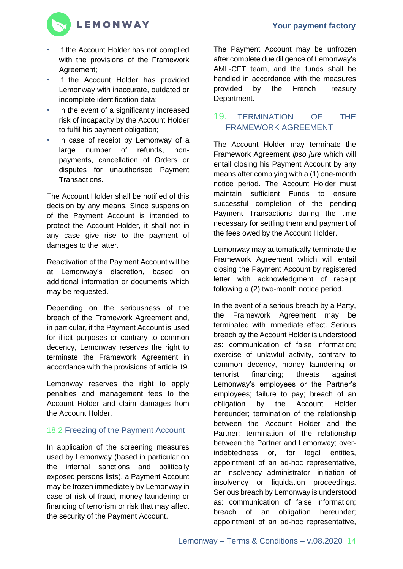

- If the Account Holder has not complied with the provisions of the Framework Agreement;
- If the Account Holder has provided Lemonway with inaccurate, outdated or incomplete identification data;
- In the event of a significantly increased risk of incapacity by the Account Holder to fulfil his payment obligation;
- In case of receipt by Lemonway of a large number of refunds, nonpayments, cancellation of Orders or disputes for unauthorised Payment Transactions.

The Account Holder shall be notified of this decision by any means. Since suspension of the Payment Account is intended to protect the Account Holder, it shall not in any case give rise to the payment of damages to the latter.

Reactivation of the Payment Account will be at Lemonway's discretion, based on additional information or documents which may be requested.

Depending on the seriousness of the breach of the Framework Agreement and, in particular, if the Payment Account is used for illicit purposes or contrary to common decency, Lemonway reserves the right to terminate the Framework Agreement in accordance with the provisions of article 19.

Lemonway reserves the right to apply penalties and management fees to the Account Holder and claim damages from the Account Holder.

## 18.2 Freezing of the Payment Account

In application of the screening measures used by Lemonway (based in particular on the internal sanctions and politically exposed persons lists), a Payment Account may be frozen immediately by Lemonway in case of risk of fraud, money laundering or financing of terrorism or risk that may affect the security of the Payment Account.

The Payment Account may be unfrozen after complete due diligence of Lemonway's AML-CFT team, and the funds shall be handled in accordance with the measures provided by the French Treasury Department.

## 19. TERMINATION OF THE FRAMEWORK AGREEMENT

The Account Holder may terminate the Framework Agreement *ipso jure* which will entail closing his Payment Account by any means after complying with a (1) one-month notice period. The Account Holder must maintain sufficient Funds to ensure successful completion of the pending Payment Transactions during the time necessary for settling them and payment of the fees owed by the Account Holder.

Lemonway may automatically terminate the Framework Agreement which will entail closing the Payment Account by registered letter with acknowledgment of receipt following a (2) two-month notice period.

In the event of a serious breach by a Party, the Framework Agreement may be terminated with immediate effect. Serious breach by the Account Holder is understood as: communication of false information; exercise of unlawful activity, contrary to common decency, money laundering or terrorist financing; threats against Lemonway's employees or the Partner's employees; failure to pay; breach of an obligation by the Account Holder hereunder; termination of the relationship between the Account Holder and the Partner; termination of the relationship between the Partner and Lemonway; overindebtedness or, for legal entities, appointment of an ad-hoc representative, an insolvency administrator, initiation of insolvency or liquidation proceedings. Serious breach by Lemonway is understood as: communication of false information; breach of an obligation hereunder; appointment of an ad-hoc representative,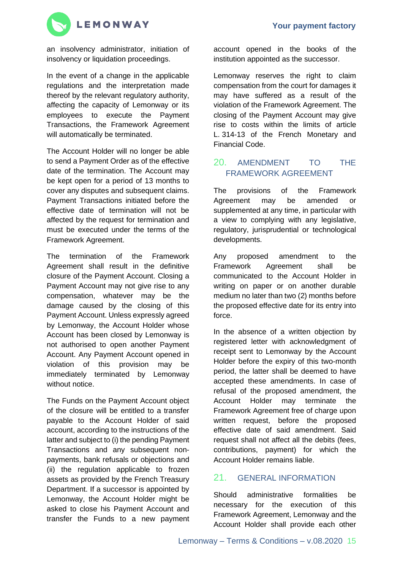

an insolvency administrator, initiation of insolvency or liquidation proceedings.

In the event of a change in the applicable regulations and the interpretation made thereof by the relevant regulatory authority, affecting the capacity of Lemonway or its employees to execute the Payment Transactions, the Framework Agreement will automatically be terminated.

The Account Holder will no longer be able to send a Payment Order as of the effective date of the termination. The Account may be kept open for a period of 13 months to cover any disputes and subsequent claims. Payment Transactions initiated before the effective date of termination will not be affected by the request for termination and must be executed under the terms of the Framework Agreement.

The termination of the Framework Agreement shall result in the definitive closure of the Payment Account. Closing a Payment Account may not give rise to any compensation, whatever may be the damage caused by the closing of this Payment Account. Unless expressly agreed by Lemonway, the Account Holder whose Account has been closed by Lemonway is not authorised to open another Payment Account. Any Payment Account opened in violation of this provision may be immediately terminated by Lemonway without notice.

The Funds on the Payment Account object of the closure will be entitled to a transfer payable to the Account Holder of said account, according to the instructions of the latter and subject to (i) the pending Payment Transactions and any subsequent nonpayments, bank refusals or objections and (ii) the regulation applicable to frozen assets as provided by the French Treasury Department. If a successor is appointed by Lemonway, the Account Holder might be asked to close his Payment Account and transfer the Funds to a new payment account opened in the books of the institution appointed as the successor.

Lemonway reserves the right to claim compensation from the court for damages it may have suffered as a result of the violation of the Framework Agreement. The closing of the Payment Account may give rise to costs within the limits of article L. 314-13 of the French Monetary and Financial Code.

## 20. AMENDMENT TO THE FRAMEWORK AGREEMENT

The provisions of the Framework Agreement may be amended or supplemented at any time, in particular with a view to complying with any legislative, regulatory, jurisprudential or technological developments.

Any proposed amendment to the Framework Agreement shall be communicated to the Account Holder in writing on paper or on another durable medium no later than two (2) months before the proposed effective date for its entry into force.

In the absence of a written objection by registered letter with acknowledgment of receipt sent to Lemonway by the Account Holder before the expiry of this two-month period, the latter shall be deemed to have accepted these amendments. In case of refusal of the proposed amendment, the Account Holder may terminate the Framework Agreement free of charge upon written request, before the proposed effective date of said amendment. Said request shall not affect all the debits (fees, contributions, payment) for which the Account Holder remains liable.

## 21. GENERAL INFORMATION

Should administrative formalities be necessary for the execution of this Framework Agreement, Lemonway and the Account Holder shall provide each other